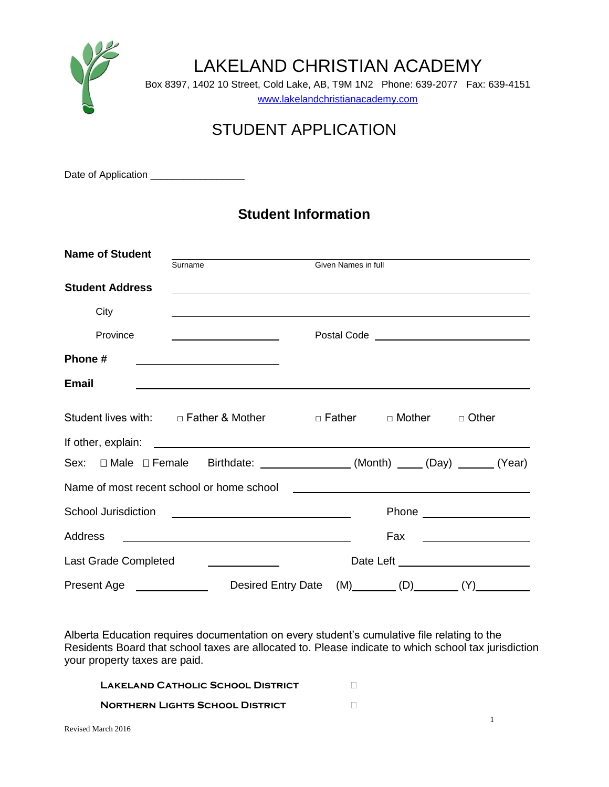

# STUDENT APPLICATION

Date of Application \_\_\_\_\_\_\_\_\_\_\_\_\_\_\_

## **Student Information**

| <b>Name of Student</b>  |                                                                                                                      | <u> 1989 - Johann Stein, mars an deus Amerikaansk kommunister (</u> |     |                                                                                                                                                                                                                                                 |
|-------------------------|----------------------------------------------------------------------------------------------------------------------|---------------------------------------------------------------------|-----|-------------------------------------------------------------------------------------------------------------------------------------------------------------------------------------------------------------------------------------------------|
|                         | Surname                                                                                                              | Given Names in full                                                 |     |                                                                                                                                                                                                                                                 |
| <b>Student Address</b>  | <u> 1989 - Jan James James Barnett, amerikan bestein den soldat in den staatskriuwer om de staatskriuwer om de s</u> |                                                                     |     |                                                                                                                                                                                                                                                 |
| City                    |                                                                                                                      |                                                                     |     |                                                                                                                                                                                                                                                 |
| Province                |                                                                                                                      |                                                                     |     | Postal Code <u>________________________________</u>                                                                                                                                                                                             |
| Phone #                 | <u> Alexandria de la contrada de la contrada de la contrada de la contrada de la contrada de la contrada de la c</u> |                                                                     |     |                                                                                                                                                                                                                                                 |
| <b>Email</b>            |                                                                                                                      |                                                                     |     |                                                                                                                                                                                                                                                 |
|                         |                                                                                                                      |                                                                     |     |                                                                                                                                                                                                                                                 |
|                         | Student lives with: □ Father & Mother □ □ Father □ Mother □ Other                                                    |                                                                     |     |                                                                                                                                                                                                                                                 |
|                         |                                                                                                                      |                                                                     |     |                                                                                                                                                                                                                                                 |
|                         | Sex: □ Male □ Female Birthdate: ______________(Month) ____(Day) _____(Year)                                          |                                                                     |     |                                                                                                                                                                                                                                                 |
|                         |                                                                                                                      |                                                                     |     |                                                                                                                                                                                                                                                 |
|                         |                                                                                                                      |                                                                     |     |                                                                                                                                                                                                                                                 |
| Address                 |                                                                                                                      |                                                                     | Fax | $\mathcal{L}(\mathcal{L}(\mathcal{L}))$ . The set of the set of the set of the set of the set of the set of the set of the set of the set of the set of the set of the set of the set of the set of the set of the set of the set of the set of |
| Last Grade Completed    |                                                                                                                      |                                                                     |     | Date Left ________________________                                                                                                                                                                                                              |
| Present Age<br><u> </u> | <b>Desired Entry Date</b>                                                                                            |                                                                     |     | $(M)$ (D) (Y)                                                                                                                                                                                                                                   |

Alberta Education requires documentation on every student's cumulative file relating to the Residents Board that school taxes are allocated to. Please indicate to which school tax jurisdiction your property taxes are paid.

| LAKELAND CATHOLIC SCHOOL DISTRICT      |  |
|----------------------------------------|--|
| <b>NORTHERN LIGHTS SCHOOL DISTRICT</b> |  |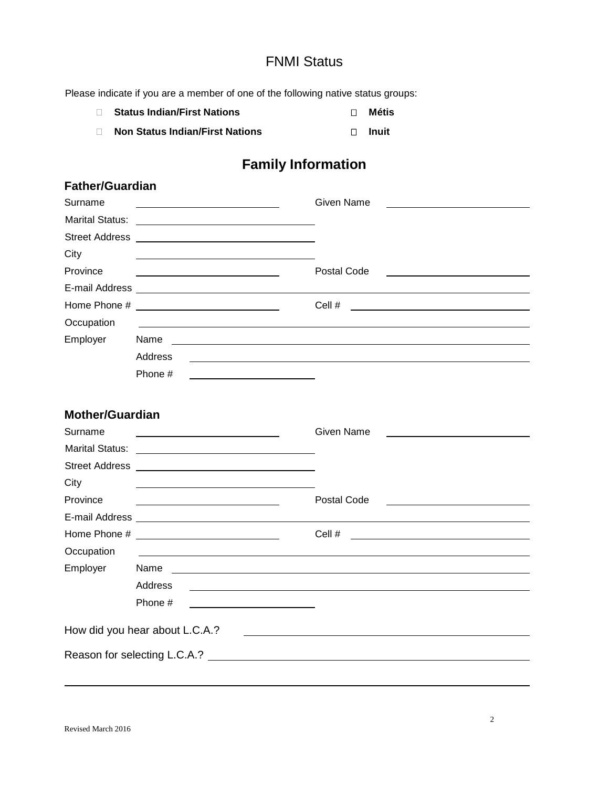#### FNMI Status

Please indicate if you are a member of one of the following native status groups:

**Status Indian/First Nations Metis Metis Non Status Indian/First Nations D** Inuit

## **Family Information**

| <b>Father/Guardian</b> |                                                                                                                              |                                                                                                                                                                                                                                                |
|------------------------|------------------------------------------------------------------------------------------------------------------------------|------------------------------------------------------------------------------------------------------------------------------------------------------------------------------------------------------------------------------------------------|
| Surname                | <u> 1989 - Johann Barn, mars ann an t-Amhain an t-Amhain an t-Amhain an t-Amhain an t-Amhain an t-Amhain an t-Amh</u>        | <b>Given Name</b>                                                                                                                                                                                                                              |
|                        |                                                                                                                              |                                                                                                                                                                                                                                                |
|                        |                                                                                                                              |                                                                                                                                                                                                                                                |
| City                   |                                                                                                                              |                                                                                                                                                                                                                                                |
| Province               | <u> 1980 - Johann Barn, fransk politik (d. 1980)</u>                                                                         | Postal Code<br><u> 1989 - Johann Stoff, deutscher Stoffen und der Stoffen und der Stoffen und der Stoffen und der Stoffen und der</u>                                                                                                          |
|                        |                                                                                                                              |                                                                                                                                                                                                                                                |
|                        |                                                                                                                              | Cell #<br><u>and the contract of the contract of the contract of the contract of the contract of the contract of the contract of the contract of the contract of the contract of the contract of the contract of the contract of the contr</u> |
| Occupation             |                                                                                                                              |                                                                                                                                                                                                                                                |
| Employer               | Name<br><u> Alexandria de la contrada de la contrada de la contrada de la contrada de la contrada de la contrada de la c</u> |                                                                                                                                                                                                                                                |
|                        | Address                                                                                                                      |                                                                                                                                                                                                                                                |
|                        | Phone #                                                                                                                      |                                                                                                                                                                                                                                                |
|                        |                                                                                                                              |                                                                                                                                                                                                                                                |
| <b>Mother/Guardian</b> |                                                                                                                              |                                                                                                                                                                                                                                                |
| Surname                |                                                                                                                              | Given Name                                                                                                                                                                                                                                     |
| <b>Marital Status:</b> | <u> 1980 - Andrea Albert III, poet e presentan a pre</u>                                                                     |                                                                                                                                                                                                                                                |
|                        |                                                                                                                              |                                                                                                                                                                                                                                                |
| City                   |                                                                                                                              |                                                                                                                                                                                                                                                |
| Province               |                                                                                                                              | Postal Code<br><u> Alexandria de la contexta de la contexta de la contexta de la contexta de la contexta de la contexta de la c</u>                                                                                                            |
|                        |                                                                                                                              |                                                                                                                                                                                                                                                |
|                        |                                                                                                                              | Cell $#$                                                                                                                                                                                                                                       |
| Occupation             |                                                                                                                              |                                                                                                                                                                                                                                                |
| Employer               | Name                                                                                                                         | <u> 1989 - Johann John Stone, mensk politiker og det større og det større og det større og det større og det stør</u>                                                                                                                          |
|                        | Address                                                                                                                      | the control of the control of the control of the control of the control of the control of the control of the control of the control of the control of the control of the control of the control of the control of the control                  |
|                        | Phone #                                                                                                                      |                                                                                                                                                                                                                                                |
|                        | How did you hear about L.C.A.?                                                                                               | <u> 1989 - Johann Barn, mars ann an t-Amhair an t-Amhair an t-Amhair an t-Amhair an t-Amhair an t-Amhair an t-A</u>                                                                                                                            |
|                        |                                                                                                                              |                                                                                                                                                                                                                                                |
|                        |                                                                                                                              |                                                                                                                                                                                                                                                |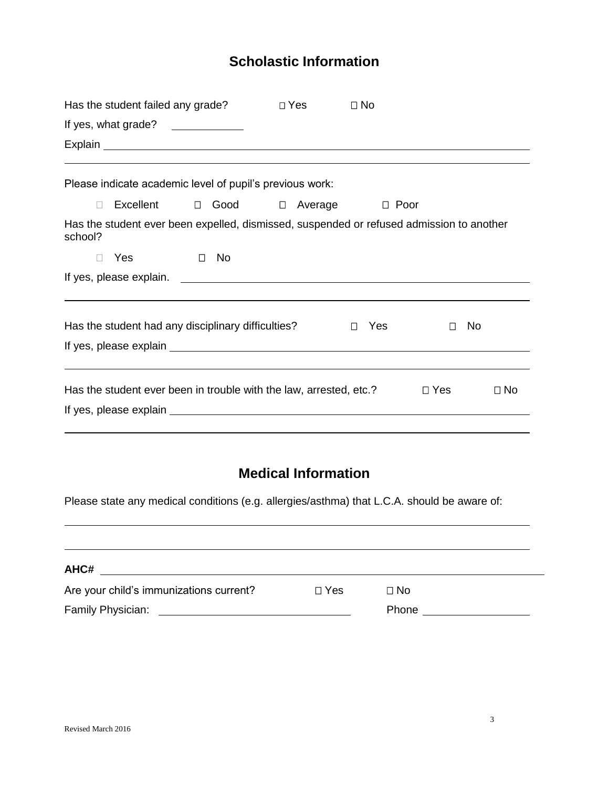## **Scholastic Information**

|              | Has the student failed any grade?<br>If yes, what grade? $\sqrt{2\pi}$<br>Explain explainter and the second contract of the second contract of the second contract of the second contract of the second contract of the second contract of the second contract of the second contract of the second cont |        |     | $\Box$ Yes | $\Box$ No     |            |           |           |
|--------------|----------------------------------------------------------------------------------------------------------------------------------------------------------------------------------------------------------------------------------------------------------------------------------------------------------|--------|-----|------------|---------------|------------|-----------|-----------|
| П            | Please indicate academic level of pupil's previous work:<br>Excellent $\Box$ Good $\Box$ Average $\Box$ Poor                                                                                                                                                                                             |        |     |            |               |            |           |           |
| school?<br>П | Has the student ever been expelled, dismissed, suspended or refused admission to another<br>Yes                                                                                                                                                                                                          | $\Box$ | No. |            |               |            |           |           |
|              |                                                                                                                                                                                                                                                                                                          |        |     |            |               |            |           |           |
|              | Has the student had any disciplinary difficulties?                                                                                                                                                                                                                                                       |        |     |            | Yes<br>$\Box$ | П          | <b>No</b> |           |
|              | Has the student ever been in trouble with the law, arrested, etc.?                                                                                                                                                                                                                                       |        |     |            |               | $\Box$ Yes |           | $\Box$ No |

## **Medical Information**

Please state any medical conditions (e.g. allergies/asthma) that L.C.A. should be aware of:

| AHC#                                    |              |       |  |
|-----------------------------------------|--------------|-------|--|
| Are your child's immunizations current? | $\sqcap$ Yes | Π No  |  |
| Family Physician:                       |              | Phone |  |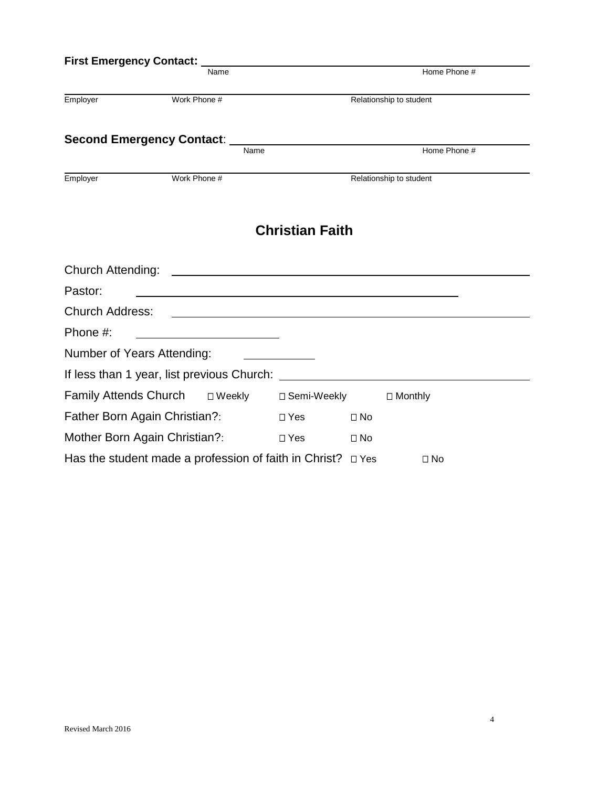| First Emergency Contact: __                           |              |      |                        |               |                         |  |
|-------------------------------------------------------|--------------|------|------------------------|---------------|-------------------------|--|
|                                                       |              | Name |                        |               | Home Phone #            |  |
| Employer                                              | Work Phone # |      |                        |               | Relationship to student |  |
| Second Emergency Contact: _____                       |              |      |                        |               |                         |  |
|                                                       |              | Name |                        |               | Home Phone #            |  |
| Employer                                              | Work Phone # |      |                        |               | Relationship to student |  |
|                                                       |              |      | <b>Christian Faith</b> |               |                         |  |
|                                                       |              |      |                        |               |                         |  |
| Pastor:                                               |              |      |                        |               |                         |  |
| <b>Church Address:</b>                                |              |      |                        |               |                         |  |
| Phone #:                                              |              |      |                        |               |                         |  |
| Number of Years Attending:                            |              |      |                        |               |                         |  |
|                                                       |              |      |                        |               |                         |  |
|                                                       |              |      |                        | □ Semi-Weekly | $\Box$ Monthly          |  |
| Father Born Again Christian?:                         |              |      | $\square$ Yes          | $\Box$ No     |                         |  |
| Mother Born Again Christian?:                         |              |      | $\Box$ Yes             | $\Box$ No     |                         |  |
| Has the student made a profession of faith in Christ? |              |      |                        | $\Box$ Yes    | $\Box$ No               |  |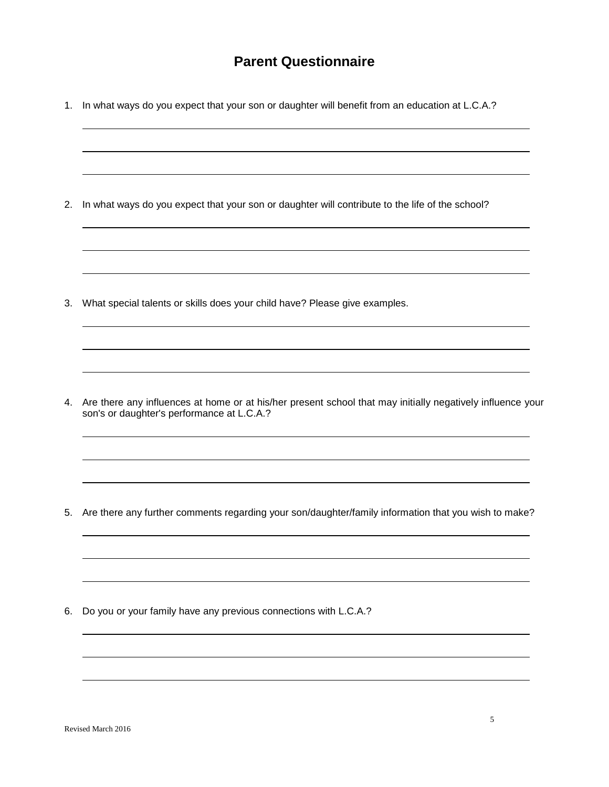#### **Parent Questionnaire**

1. In what ways do you expect that your son or daughter will benefit from an education at L.C.A.?

2. In what ways do you expect that your son or daughter will contribute to the life of the school?

3. What special talents or skills does your child have? Please give examples.

4. Are there any influences at home or at his/her present school that may initially negatively influence your son's or daughter's performance at L.C.A.?

5. Are there any further comments regarding your son/daughter/family information that you wish to make?

6. Do you or your family have any previous connections with L.C.A.?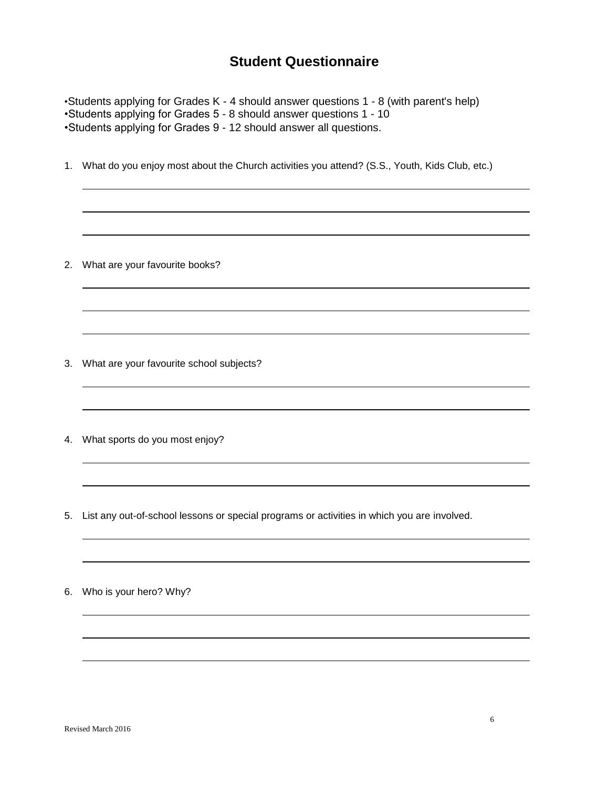#### **Student Questionnaire**

•Students applying for Grades K - 4 should answer questions 1 - 8 (with parent's help) •Students applying for Grades 5 - 8 should answer questions 1 - 10 •Students applying for Grades 9 - 12 should answer all questions. 1. What do you enjoy most about the Church activities you attend? (S.S., Youth, Kids Club, etc.) 2. What are your favourite books? 3. What are your favourite school subjects? 4. What sports do you most enjoy? 5. List any out-of-school lessons or special programs or activities in which you are involved.

6. Who is your hero? Why?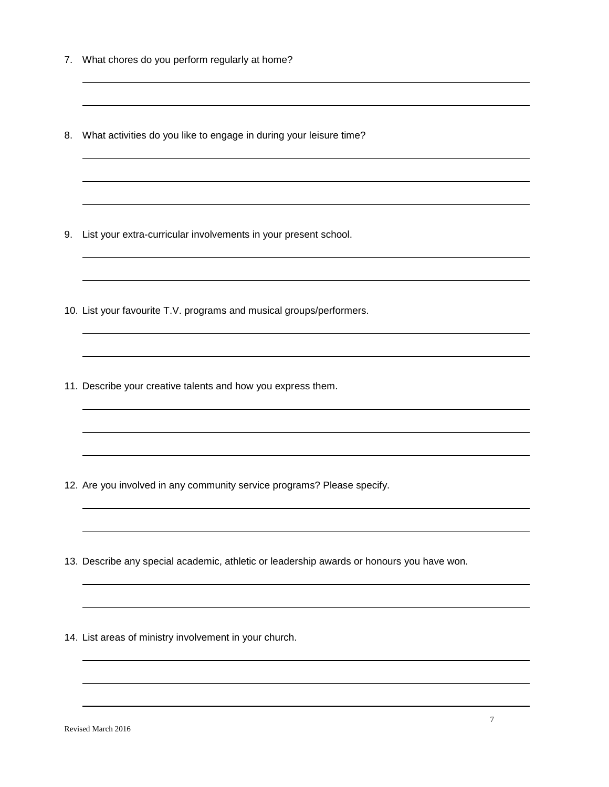- 7. What chores do you perform regularly at home?
- 8. What activities do you like to engage in during your leisure time?

and the control of the control of the control of the control of the control of the control of the control of the

- 9. List your extra-curricular involvements in your present school.
- 10. List your favourite T.V. programs and musical groups/performers.
- 11. Describe your creative talents and how you express them.

- 12. Are you involved in any community service programs? Please specify.
- 13. Describe any special academic, athletic or leadership awards or honours you have won.
- 14. List areas of ministry involvement in your church.